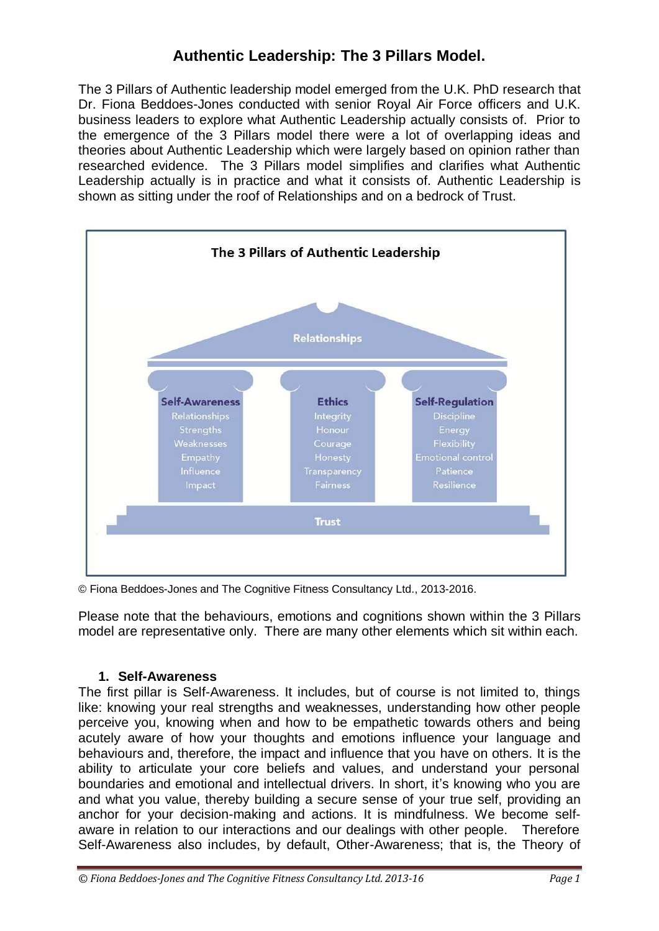# **Authentic Leadership: The 3 Pillars Model.**

The 3 Pillars of Authentic leadership model emerged from the U.K. PhD research that Dr. Fiona Beddoes-Jones conducted with senior Royal Air Force officers and U.K. business leaders to explore what Authentic Leadership actually consists of. Prior to the emergence of the 3 Pillars model there were a lot of overlapping ideas and theories about Authentic Leadership which were largely based on opinion rather than researched evidence. The 3 Pillars model simplifies and clarifies what Authentic Leadership actually is in practice and what it consists of. Authentic Leadership is shown as sitting under the roof of Relationships and on a bedrock of Trust.



© Fiona Beddoes-Jones and The Cognitive Fitness Consultancy Ltd., 2013-2016.

Please note that the behaviours, emotions and cognitions shown within the 3 Pillars model are representative only. There are many other elements which sit within each.

# **1. Self-Awareness**

The first pillar is Self-Awareness. It includes, but of course is not limited to, things like: knowing your real strengths and weaknesses, understanding how other people perceive you, knowing when and how to be empathetic towards others and being acutely aware of how your thoughts and emotions influence your language and behaviours and, therefore, the impact and influence that you have on others. It is the ability to articulate your core beliefs and values, and understand your personal boundaries and emotional and intellectual drivers. In short, it's knowing who you are and what you value, thereby building a secure sense of your true self, providing an anchor for your decision-making and actions. It is mindfulness. We become selfaware in relation to our interactions and our dealings with other people. Therefore Self-Awareness also includes, by default, Other-Awareness; that is, the Theory of